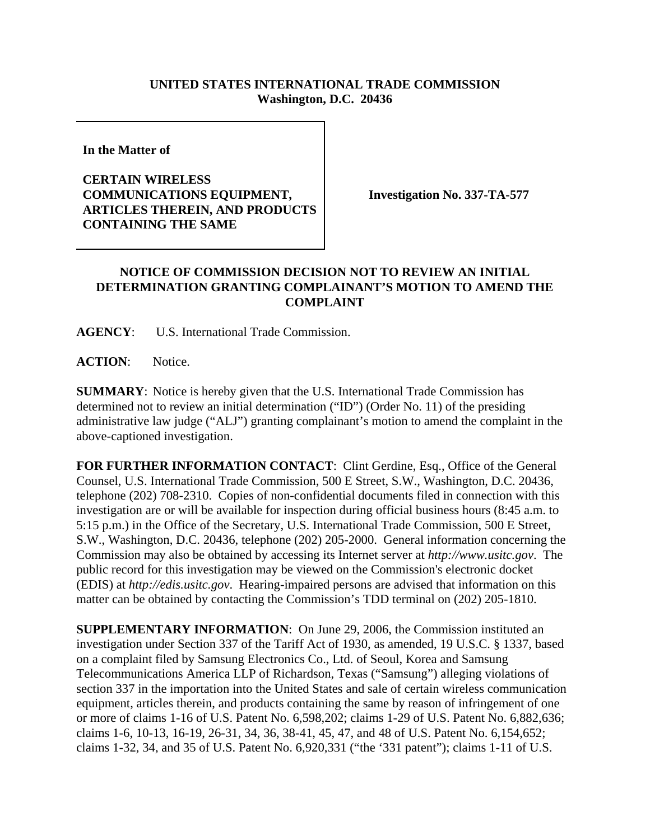## **UNITED STATES INTERNATIONAL TRADE COMMISSION Washington, D.C. 20436**

**In the Matter of** 

## **CERTAIN WIRELESS COMMUNICATIONS EQUIPMENT, ARTICLES THEREIN, AND PRODUCTS CONTAINING THE SAME**

**Investigation No. 337-TA-577**

## **NOTICE OF COMMISSION DECISION NOT TO REVIEW AN INITIAL DETERMINATION GRANTING COMPLAINANT'S MOTION TO AMEND THE COMPLAINT**

**AGENCY**: U.S. International Trade Commission.

**ACTION**: Notice.

**SUMMARY**: Notice is hereby given that the U.S. International Trade Commission has determined not to review an initial determination ("ID") (Order No. 11) of the presiding administrative law judge ("ALJ") granting complainant's motion to amend the complaint in the above-captioned investigation.

FOR FURTHER INFORMATION CONTACT: Clint Gerdine, Esq., Office of the General Counsel, U.S. International Trade Commission, 500 E Street, S.W., Washington, D.C. 20436, telephone (202) 708-2310. Copies of non-confidential documents filed in connection with this investigation are or will be available for inspection during official business hours (8:45 a.m. to 5:15 p.m.) in the Office of the Secretary, U.S. International Trade Commission, 500 E Street, S.W., Washington, D.C. 20436, telephone (202) 205-2000. General information concerning the Commission may also be obtained by accessing its Internet server at *http://www.usitc.gov*. The public record for this investigation may be viewed on the Commission's electronic docket (EDIS) at *http://edis.usitc.gov*. Hearing-impaired persons are advised that information on this matter can be obtained by contacting the Commission's TDD terminal on (202) 205-1810.

**SUPPLEMENTARY INFORMATION**: On June 29, 2006, the Commission instituted an investigation under Section 337 of the Tariff Act of 1930, as amended, 19 U.S.C. § 1337, based on a complaint filed by Samsung Electronics Co., Ltd. of Seoul, Korea and Samsung Telecommunications America LLP of Richardson, Texas ("Samsung") alleging violations of section 337 in the importation into the United States and sale of certain wireless communication equipment, articles therein, and products containing the same by reason of infringement of one or more of claims 1-16 of U.S. Patent No. 6,598,202; claims 1-29 of U.S. Patent No. 6,882,636; claims 1-6, 10-13, 16-19, 26-31, 34, 36, 38-41, 45, 47, and 48 of U.S. Patent No. 6,154,652; claims 1-32, 34, and 35 of U.S. Patent No. 6,920,331 ("the '331 patent"); claims 1-11 of U.S.